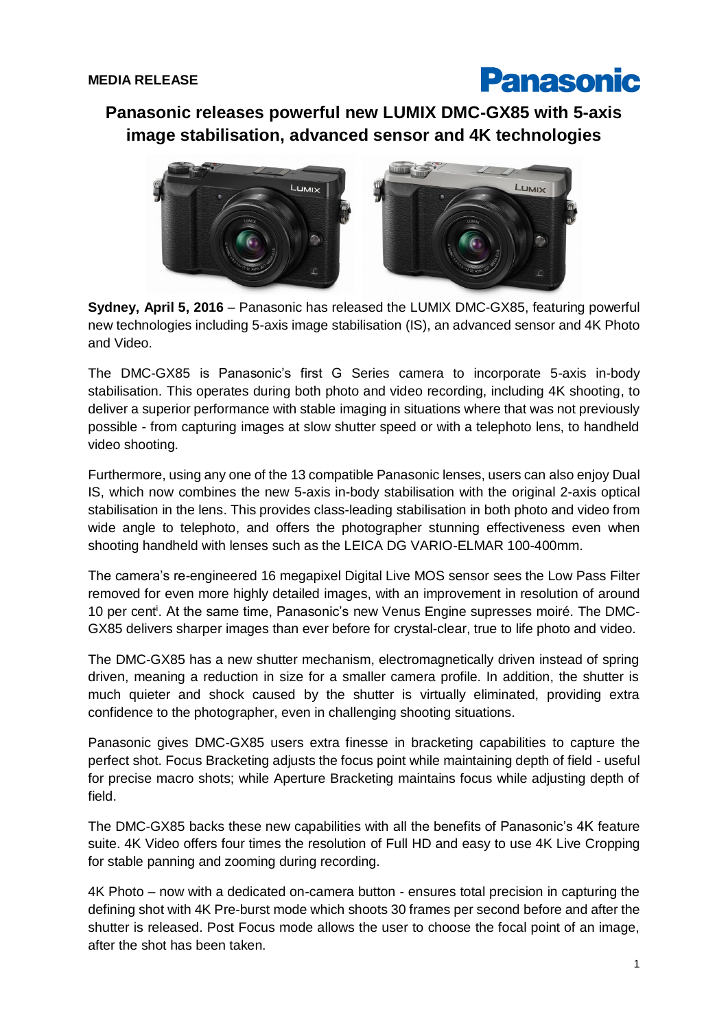

**Panasonic releases powerful new LUMIX DMC-GX85 with 5-axis image stabilisation, advanced sensor and 4K technologies**



**Sydney, April 5, 2016** – Panasonic has released the LUMIX DMC-GX85, featuring powerful new technologies including 5-axis image stabilisation (IS), an advanced sensor and 4K Photo and Video.

The DMC-GX85 is Panasonic's first G Series camera to incorporate 5-axis in-body stabilisation. This operates during both photo and video recording, including 4K shooting, to deliver a superior performance with stable imaging in situations where that was not previously possible - from capturing images at slow shutter speed or with a telephoto lens, to handheld video shooting.

Furthermore, using any one of the 13 compatible Panasonic lenses, users can also enjoy Dual IS, which now combines the new 5-axis in-body stabilisation with the original 2-axis optical stabilisation in the lens. This provides class-leading stabilisation in both photo and video from wide angle to telephoto, and offers the photographer stunning effectiveness even when shooting handheld with lenses such as the LEICA DG VARIO-ELMAR 100-400mm.

The camera's re-engineered 16 megapixel Digital Live MOS sensor sees the Low Pass Filter removed for even more highly detailed images, with an improvement in resolution of around 10 per cent<sup>i</sup>. At the same time, Panasonic's new Venus Engine supresses moiré. The DMC-GX85 delivers sharper images than ever before for crystal-clear, true to life photo and video.

The DMC-GX85 has a new shutter mechanism, electromagnetically driven instead of spring driven, meaning a reduction in size for a smaller camera profile. In addition, the shutter is much quieter and shock caused by the shutter is virtually eliminated, providing extra confidence to the photographer, even in challenging shooting situations.

Panasonic gives DMC-GX85 users extra finesse in bracketing capabilities to capture the perfect shot. Focus Bracketing adjusts the focus point while maintaining depth of field - useful for precise macro shots; while Aperture Bracketing maintains focus while adjusting depth of field.

The DMC-GX85 backs these new capabilities with all the benefits of Panasonic's 4K feature suite. 4K Video offers four times the resolution of Full HD and easy to use 4K Live Cropping for stable panning and zooming during recording.

4K Photo – now with a dedicated on-camera button - ensures total precision in capturing the defining shot with 4K Pre-burst mode which shoots 30 frames per second before and after the shutter is released. Post Focus mode allows the user to choose the focal point of an image, after the shot has been taken.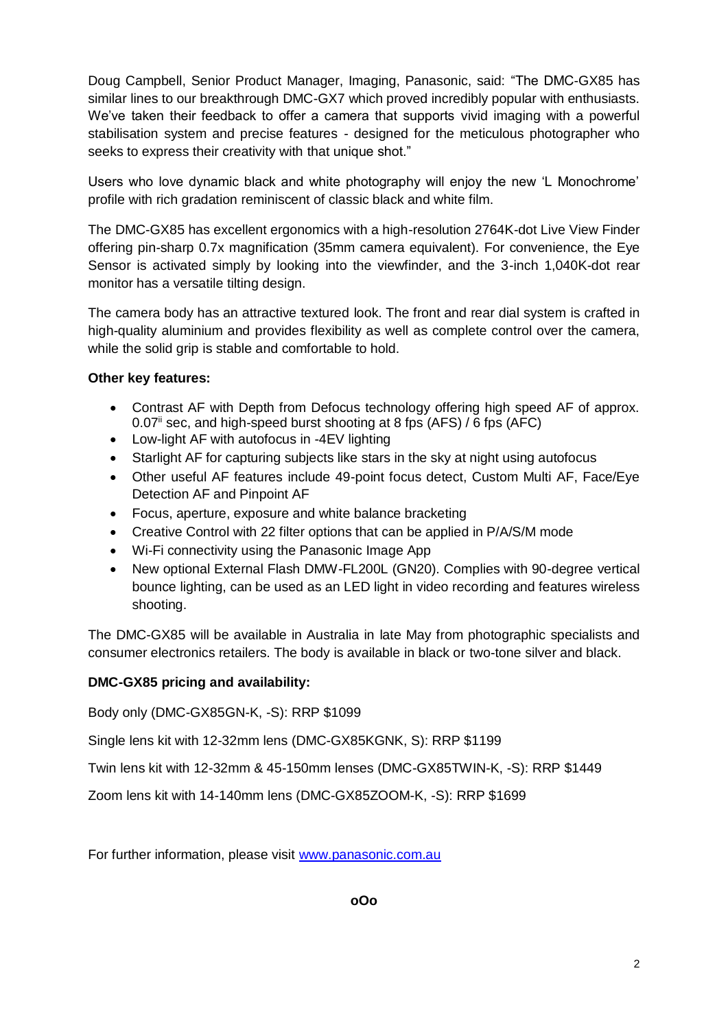Doug Campbell, Senior Product Manager, Imaging, Panasonic, said: "The DMC-GX85 has similar lines to our breakthrough DMC-GX7 which proved incredibly popular with enthusiasts. We've taken their feedback to offer a camera that supports vivid imaging with a powerful stabilisation system and precise features - designed for the meticulous photographer who seeks to express their creativity with that unique shot."

Users who love dynamic black and white photography will enjoy the new 'L Monochrome' profile with rich gradation reminiscent of classic black and white film.

The DMC-GX85 has excellent ergonomics with a high-resolution 2764K-dot Live View Finder offering pin-sharp 0.7x magnification (35mm camera equivalent). For convenience, the Eye Sensor is activated simply by looking into the viewfinder, and the 3-inch 1,040K-dot rear monitor has a versatile tilting design.

The camera body has an attractive textured look. The front and rear dial system is crafted in high-quality aluminium and provides flexibility as well as complete control over the camera, while the solid grip is stable and comfortable to hold.

## **Other key features:**

- Contrast AF with Depth from Defocus technology offering high speed AF of approx.  $0.07$ <sup>ii</sup> sec, and high-speed burst shooting at 8 fps (AFS) / 6 fps (AFC)
- Low-light AF with autofocus in -4EV lighting
- Starlight AF for capturing subjects like stars in the sky at night using autofocus
- Other useful AF features include 49-point focus detect, Custom Multi AF, Face/Eye Detection AF and Pinpoint AF
- Focus, aperture, exposure and white balance bracketing
- Creative Control with 22 filter options that can be applied in P/A/S/M mode
- Wi-Fi connectivity using the Panasonic Image App
- New optional External Flash DMW-FL200L (GN20). Complies with 90-degree vertical bounce lighting, can be used as an LED light in video recording and features wireless shooting.

The DMC-GX85 will be available in Australia in late May from photographic specialists and consumer electronics retailers. The body is available in black or two-tone silver and black.

## **DMC-GX85 pricing and availability:**

Body only (DMC-GX85GN-K, -S): RRP \$1099

Single lens kit with 12-32mm lens (DMC-GX85KGNK, S): RRP \$1199

Twin lens kit with 12-32mm & 45-150mm lenses (DMC-GX85TWIN-K, -S): RRP \$1449

Zoom lens kit with 14-140mm lens (DMC-GX85ZOOM-K, -S): RRP \$1699

For further information, please visit [www.panasonic.com.au](http://www.panasonic.com.au/)